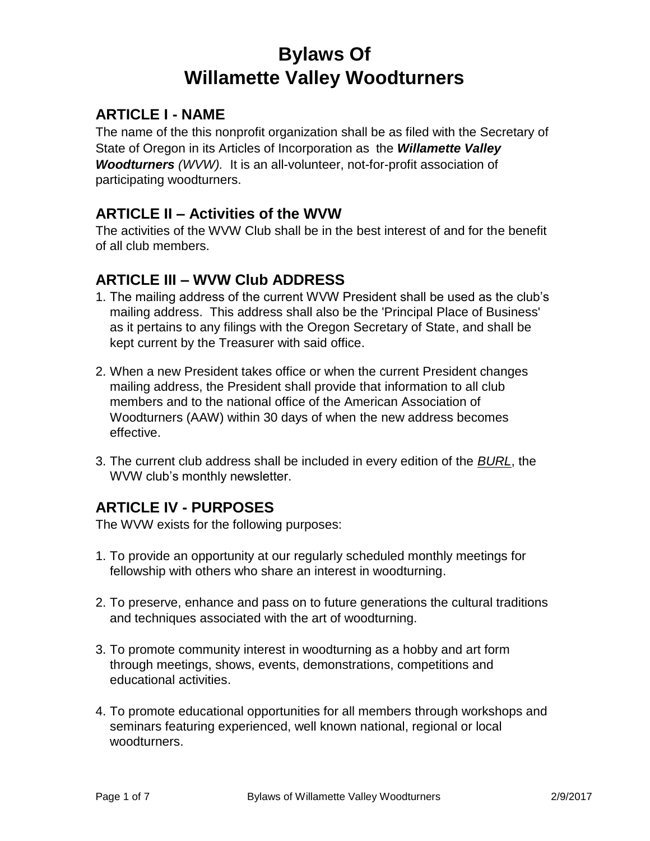# **Bylaws Of Willamette Valley Woodturners**

### **ARTICLE I - NAME**

The name of the this nonprofit organization shall be as filed with the Secretary of State of Oregon in its Articles of Incorporation as the *Willamette Valley Woodturners (WVW).* It is an all-volunteer, not-for-profit association of participating woodturners.

#### **ARTICLE II – Activities of the WVW**

The activities of the WVW Club shall be in the best interest of and for the benefit of all club members.

### **ARTICLE III – WVW Club ADDRESS**

- 1. The mailing address of the current WVW President shall be used as the club's mailing address. This address shall also be the 'Principal Place of Business' as it pertains to any filings with the Oregon Secretary of State, and shall be kept current by the Treasurer with said office.
- 2. When a new President takes office or when the current President changes mailing address, the President shall provide that information to all club members and to the national office of the American Association of Woodturners (AAW) within 30 days of when the new address becomes effective.
- 3. The current club address shall be included in every edition of the *BURL*, the WVW club's monthly newsletter.

### **ARTICLE IV - PURPOSES**

The WVW exists for the following purposes:

- 1. To provide an opportunity at our regularly scheduled monthly meetings for fellowship with others who share an interest in woodturning.
- 2. To preserve, enhance and pass on to future generations the cultural traditions and techniques associated with the art of woodturning.
- 3. To promote community interest in woodturning as a hobby and art form through meetings, shows, events, demonstrations, competitions and educational activities.
- 4. To promote educational opportunities for all members through workshops and seminars featuring experienced, well known national, regional or local woodturners.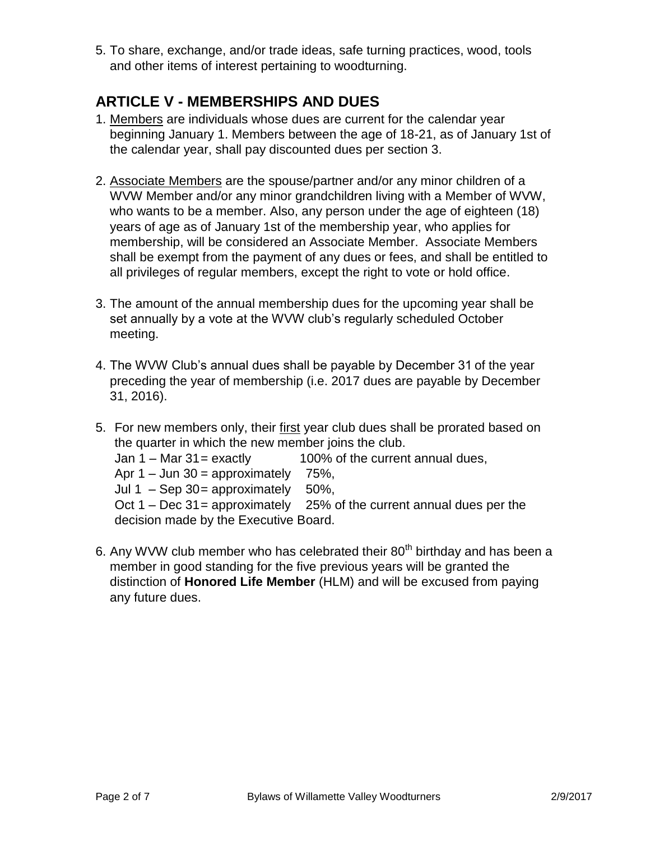5. To share, exchange, and/or trade ideas, safe turning practices, wood, tools and other items of interest pertaining to woodturning.

### **ARTICLE V - MEMBERSHIPS AND DUES**

- 1. Members are individuals whose dues are current for the calendar year beginning January 1. Members between the age of 18-21, as of January 1st of the calendar year, shall pay discounted dues per section 3.
- 2. Associate Members are the spouse/partner and/or any minor children of a WVW Member and/or any minor grandchildren living with a Member of WVW, who wants to be a member. Also, any person under the age of eighteen (18) years of age as of January 1st of the membership year, who applies for membership, will be considered an Associate Member. Associate Members shall be exempt from the payment of any dues or fees, and shall be entitled to all privileges of regular members, except the right to vote or hold office.
- 3. The amount of the annual membership dues for the upcoming year shall be set annually by a vote at the WVW club's regularly scheduled October meeting.
- 4. The WVW Club's annual dues shall be payable by December 31 of the year preceding the year of membership (i.e. 2017 dues are payable by December 31, 2016).
- 5. For new members only, their first year club dues shall be prorated based on the quarter in which the new member joins the club.
	- Jan  $1 -$  Mar  $31 =$  exactly 100% of the current annual dues,
	- Apr  $1 -$  Jun  $30 =$  approximately 75%,
	- Jul 1 Sep 30 = approximately  $50\%$ ,
	- Oct  $1 Dec 31 = approximately 25% of the current annual dues per the$ decision made by the Executive Board.
- 6. Any WVW club member who has celebrated their  $80<sup>th</sup>$  birthday and has been a member in good standing for the five previous years will be granted the distinction of **Honored Life Member** (HLM) and will be excused from paying any future dues.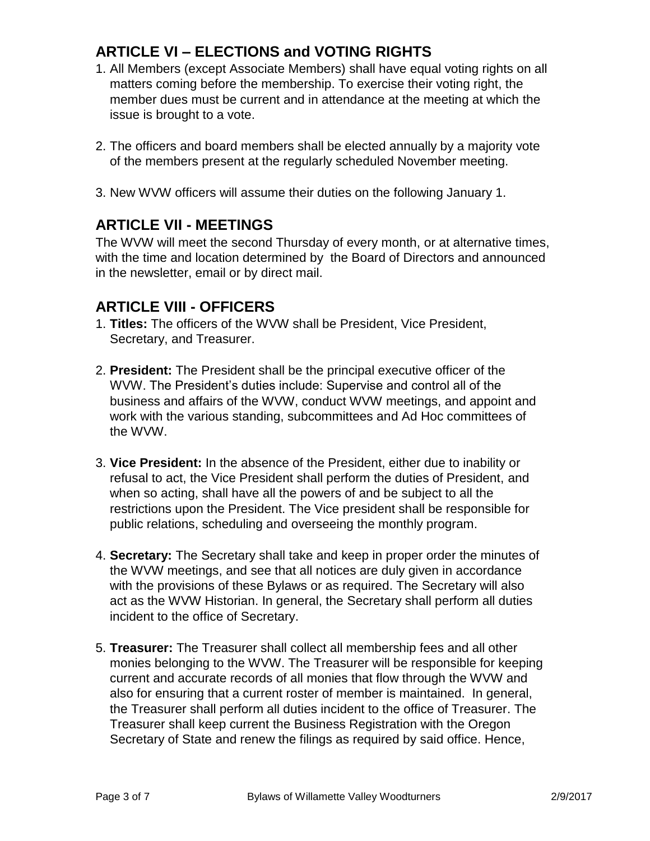# **ARTICLE VI – ELECTIONS and VOTING RIGHTS**

- 1. All Members (except Associate Members) shall have equal voting rights on all matters coming before the membership. To exercise their voting right, the member dues must be current and in attendance at the meeting at which the issue is brought to a vote.
- 2. The officers and board members shall be elected annually by a majority vote of the members present at the regularly scheduled November meeting.
- 3. New WVW officers will assume their duties on the following January 1.

### **ARTICLE VII - MEETINGS**

The WVW will meet the second Thursday of every month, or at alternative times, with the time and location determined by the Board of Directors and announced in the newsletter, email or by direct mail.

### **ARTICLE VIII - OFFICERS**

- 1. **Titles:** The officers of the WVW shall be President, Vice President, Secretary, and Treasurer.
- 2. **President:** The President shall be the principal executive officer of the WVW. The President's duties include: Supervise and control all of the business and affairs of the WVW, conduct WVW meetings, and appoint and work with the various standing, subcommittees and Ad Hoc committees of the WVW.
- 3. **Vice President:** In the absence of the President, either due to inability or refusal to act, the Vice President shall perform the duties of President, and when so acting, shall have all the powers of and be subject to all the restrictions upon the President. The Vice president shall be responsible for public relations, scheduling and overseeing the monthly program.
- 4. **Secretary:** The Secretary shall take and keep in proper order the minutes of the WVW meetings, and see that all notices are duly given in accordance with the provisions of these Bylaws or as required. The Secretary will also act as the WVW Historian. In general, the Secretary shall perform all duties incident to the office of Secretary.
- 5. **Treasurer:** The Treasurer shall collect all membership fees and all other monies belonging to the WVW. The Treasurer will be responsible for keeping current and accurate records of all monies that flow through the WVW and also for ensuring that a current roster of member is maintained. In general, the Treasurer shall perform all duties incident to the office of Treasurer. The Treasurer shall keep current the Business Registration with the Oregon Secretary of State and renew the filings as required by said office. Hence,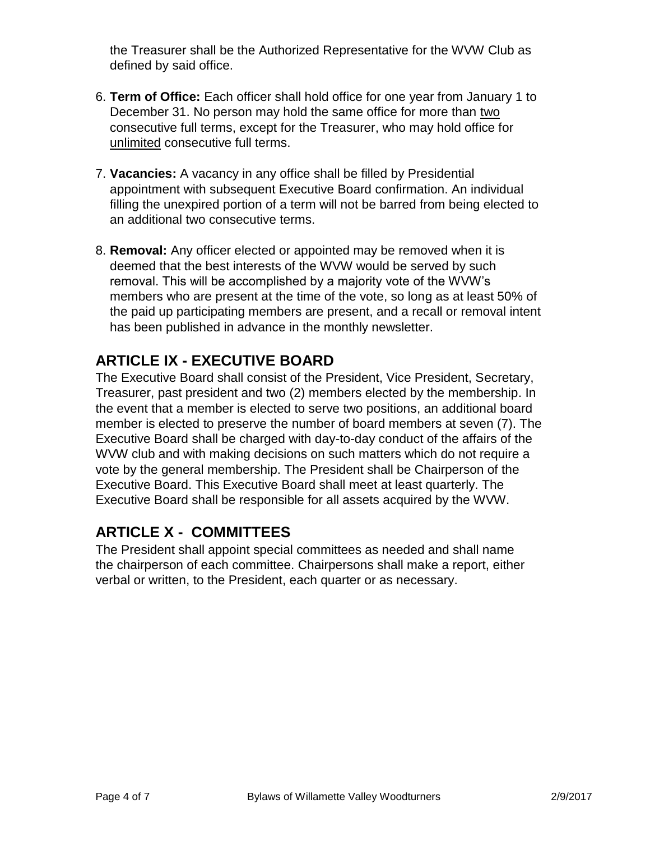the Treasurer shall be the Authorized Representative for the WVW Club as defined by said office.

- 6. **Term of Office:** Each officer shall hold office for one year from January 1 to December 31. No person may hold the same office for more than two consecutive full terms, except for the Treasurer, who may hold office for unlimited consecutive full terms.
- 7. **Vacancies:** A vacancy in any office shall be filled by Presidential appointment with subsequent Executive Board confirmation. An individual filling the unexpired portion of a term will not be barred from being elected to an additional two consecutive terms.
- 8. **Removal:** Any officer elected or appointed may be removed when it is deemed that the best interests of the WVW would be served by such removal. This will be accomplished by a majority vote of the WVW's members who are present at the time of the vote, so long as at least 50% of the paid up participating members are present, and a recall or removal intent has been published in advance in the monthly newsletter.

# **ARTICLE IX - EXECUTIVE BOARD**

The Executive Board shall consist of the President, Vice President, Secretary, Treasurer, past president and two (2) members elected by the membership. In the event that a member is elected to serve two positions, an additional board member is elected to preserve the number of board members at seven (7). The Executive Board shall be charged with day-to-day conduct of the affairs of the WVW club and with making decisions on such matters which do not require a vote by the general membership. The President shall be Chairperson of the Executive Board. This Executive Board shall meet at least quarterly. The Executive Board shall be responsible for all assets acquired by the WVW.

# **ARTICLE X - COMMITTEES**

The President shall appoint special committees as needed and shall name the chairperson of each committee. Chairpersons shall make a report, either verbal or written, to the President, each quarter or as necessary.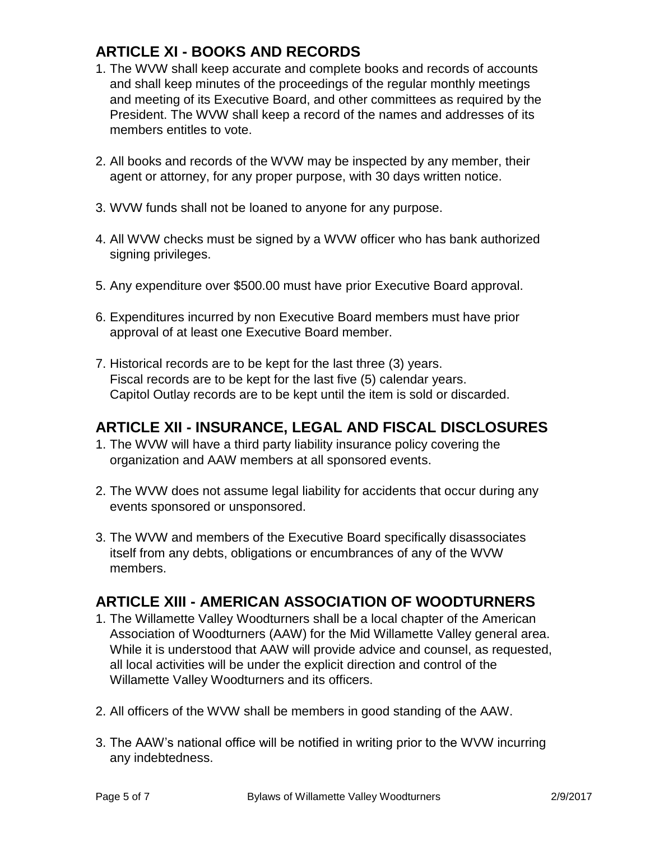# **ARTICLE XI - BOOKS AND RECORDS**

- 1. The WVW shall keep accurate and complete books and records of accounts and shall keep minutes of the proceedings of the regular monthly meetings and meeting of its Executive Board, and other committees as required by the President. The WVW shall keep a record of the names and addresses of its members entitles to vote.
- 2. All books and records of the WVW may be inspected by any member, their agent or attorney, for any proper purpose, with 30 days written notice.
- 3. WVW funds shall not be loaned to anyone for any purpose.
- 4. All WVW checks must be signed by a WVW officer who has bank authorized signing privileges.
- 5. Any expenditure over \$500.00 must have prior Executive Board approval.
- 6. Expenditures incurred by non Executive Board members must have prior approval of at least one Executive Board member.
- 7. Historical records are to be kept for the last three (3) years. Fiscal records are to be kept for the last five (5) calendar years. Capitol Outlay records are to be kept until the item is sold or discarded.

### **ARTICLE XII - INSURANCE, LEGAL AND FISCAL DISCLOSURES**

- 1. The WVW will have a third party liability insurance policy covering the organization and AAW members at all sponsored events.
- 2. The WVW does not assume legal liability for accidents that occur during any events sponsored or unsponsored.
- 3. The WVW and members of the Executive Board specifically disassociates itself from any debts, obligations or encumbrances of any of the WVW members.

### **ARTICLE XIII - AMERICAN ASSOCIATION OF WOODTURNERS**

- 1. The Willamette Valley Woodturners shall be a local chapter of the American Association of Woodturners (AAW) for the Mid Willamette Valley general area. While it is understood that AAW will provide advice and counsel, as requested, all local activities will be under the explicit direction and control of the Willamette Valley Woodturners and its officers.
- 2. All officers of the WVW shall be members in good standing of the AAW.
- 3. The AAW's national office will be notified in writing prior to the WVW incurring any indebtedness.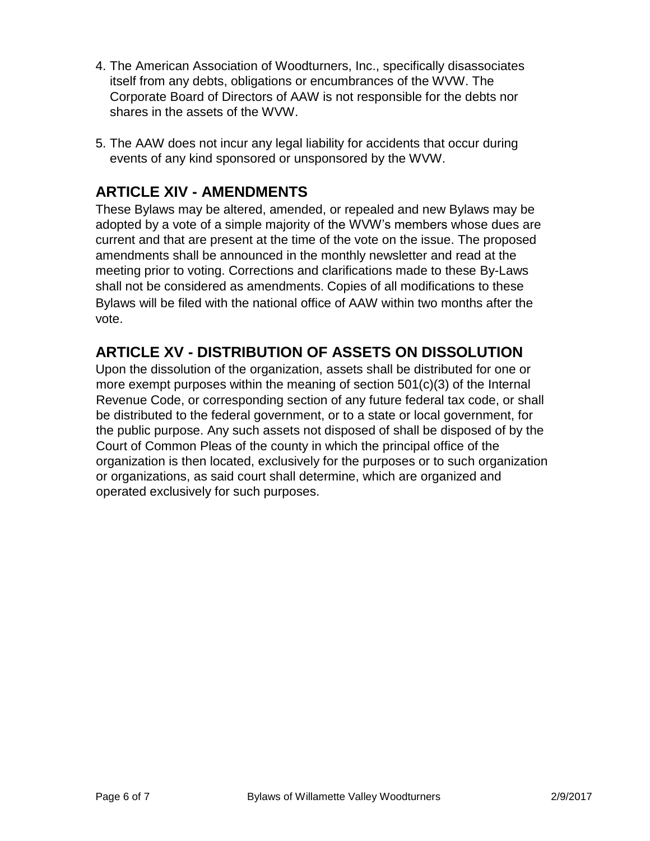- 4. The American Association of Woodturners, Inc., specifically disassociates itself from any debts, obligations or encumbrances of the WVW. The Corporate Board of Directors of AAW is not responsible for the debts nor shares in the assets of the WVW.
- 5. The AAW does not incur any legal liability for accidents that occur during events of any kind sponsored or unsponsored by the WVW.

### **ARTICLE XIV - AMENDMENTS**

These Bylaws may be altered, amended, or repealed and new Bylaws may be adopted by a vote of a simple majority of the WVW's members whose dues are current and that are present at the time of the vote on the issue. The proposed amendments shall be announced in the monthly newsletter and read at the meeting prior to voting. Corrections and clarifications made to these By-Laws shall not be considered as amendments. Copies of all modifications to these Bylaws will be filed with the national office of AAW within two months after the vote.

### **ARTICLE XV - DISTRIBUTION OF ASSETS ON DISSOLUTION**

Upon the dissolution of the organization, assets shall be distributed for one or more exempt purposes within the meaning of section 501(c)(3) of the Internal Revenue Code, or corresponding section of any future federal tax code, or shall be distributed to the federal government, or to a state or local government, for the public purpose. Any such assets not disposed of shall be disposed of by the Court of Common Pleas of the county in which the principal office of the organization is then located, exclusively for the purposes or to such organization or organizations, as said court shall determine, which are organized and operated exclusively for such purposes.